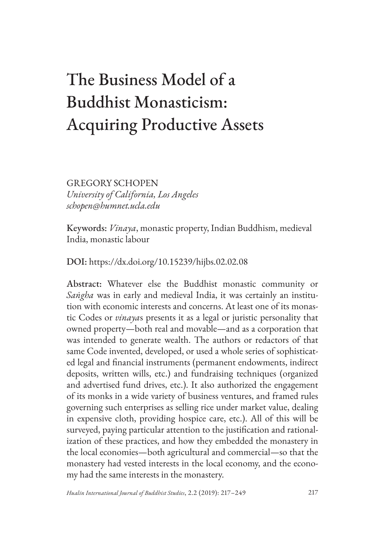# The Business Model of a Buddhist Monasticism: Acquiring Productive Assets

GREGORY SCHOPEN *University of California, Los Angeles schopen@humnet.ucla.edu*

Keywords: *Vinaya*, monastic property, Indian Buddhism, medieval India, monastic labour

DOI: https://dx.doi.org/10.15239/hijbs.02.02.08

Abstract: Whatever else the Buddhist monastic community or *Saṅgha* was in early and medieval India, it was certainly an institution with economic interests and concerns. At least one of its monastic Codes or *vinaya*s presents it as a legal or juristic personality that owned property—both real and movable—and as a corporation that was intended to generate wealth. The authors or redactors of that same Code invented, developed, or used a whole series of sophisticated legal and financial instruments (permanent endowments, indirect deposits, written wills, etc.) and fundraising techniques (organized and advertised fund drives, etc.). It also authorized the engagement of its monks in a wide variety of business ventures, and framed rules governing such enterprises as selling rice under market value, dealing in expensive cloth, providing hospice care, etc.). All of this will be surveyed, paying particular attention to the justification and rationalization of these practices, and how they embedded the monastery in the local economies—both agricultural and commercial—so that the monastery had vested interests in the local economy, and the economy had the same interests in the monastery.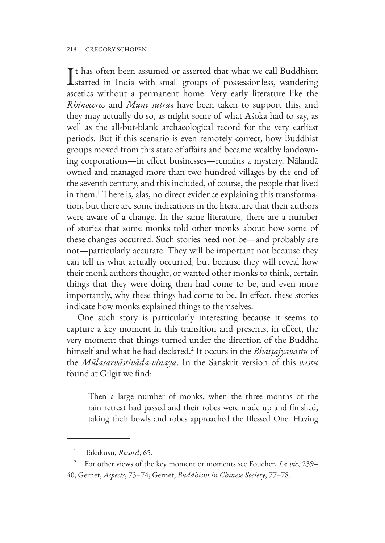#### 218 GREGORY SCHOPEN

It has often been assumed or asserted that what we call Buddhism<br>started in India with small groups of possessionless, wandering Tt has often been assumed or asserted that what we call Buddhism ascetics without a permanent home. Very early literature like the *Rhinoceros* and *Muni sūtra*s have been taken to support this, and they may actually do so, as might some of what Aśoka had to say, as well as the all-but-blank archaeological record for the very earliest periods. But if this scenario is even remotely correct, how Buddhist groups moved from this state of affairs and became wealthy landowning corporations—in effect businesses—remains a mystery. Nālandā owned and managed more than two hundred villages by the end of the seventh century, and this included, of course, the people that lived in them.1 There is, alas, no direct evidence explaining this transformation, but there are some indications in the literature that their authors were aware of a change. In the same literature, there are a number of stories that some monks told other monks about how some of these changes occurred. Such stories need not be—and probably are not—particularly accurate. They will be important not because they can tell us what actually occurred, but because they will reveal how their monk authors thought, or wanted other monks to think, certain things that they were doing then had come to be, and even more importantly, why these things had come to be. In effect, these stories indicate how monks explained things to themselves.

One such story is particularly interesting because it seems to capture a key moment in this transition and presents, in effect, the very moment that things turned under the direction of the Buddha himself and what he had declared.2 It occurs in the *Bhaiṣajyavastu* of the *Mūlasarvāstivāda-vinaya*. In the Sanskrit version of this *vastu* found at Gilgit we find:

Then a large number of monks, when the three months of the rain retreat had passed and their robes were made up and finished, taking their bowls and robes approached the Blessed One. Having

<sup>1</sup> Takakusu, *Record*, 65.

<sup>2</sup> For other views of the key moment or moments see Foucher, *La vie*, 239– 40; Gernet, *Aspects*, 73–74; Gernet, *Buddhism in Chinese Society*, 77–78.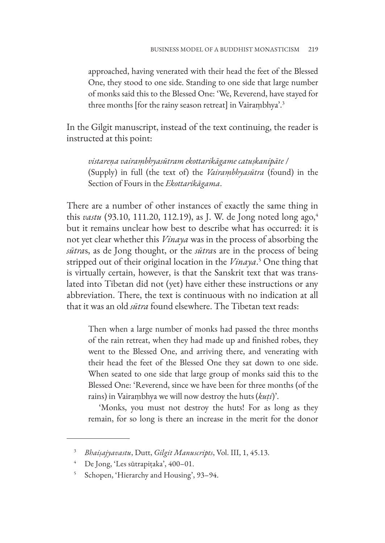approached, having venerated with their head the feet of the Blessed One, they stood to one side. Standing to one side that large number of monks said this to the Blessed One: 'We, Reverend, have stayed for three months [for the rainy season retreat] in Vairaṃbhya'.3

In the Gilgit manuscript, instead of the text continuing, the reader is instructed at this point:

*vistareṇa vairaṃbhyasūtram ekottarikāgame catuṣkanipāte* / (Supply) in full (the text of) the *Vairaṃbhyasūtra* (found) in the Section of Fours in the *Ekottarikāgama*.

There are a number of other instances of exactly the same thing in this *vastu* (93.10, 111.20, 112.19), as J. W. de Jong noted long ago,<sup>4</sup> but it remains unclear how best to describe what has occurred: it is not yet clear whether this *Vinaya* was in the process of absorbing the *sūtra*s, as de Jong thought, or the *sūtra*s are in the process of being stripped out of their original location in the *Vinaya*. 5 One thing that is virtually certain, however, is that the Sanskrit text that was translated into Tibetan did not (yet) have either these instructions or any abbreviation. There, the text is continuous with no indication at all that it was an old *sūtra* found elsewhere. The Tibetan text reads:

Then when a large number of monks had passed the three months of the rain retreat, when they had made up and finished robes, they went to the Blessed One, and arriving there, and venerating with their head the feet of the Blessed One they sat down to one side. When seated to one side that large group of monks said this to the Blessed One: 'Reverend, since we have been for three months (of the rains) in Vairaṃbhya we will now destroy the huts (*kuṭi*)'.

'Monks, you must not destroy the huts! For as long as they remain, for so long is there an increase in the merit for the donor

<sup>3</sup> *Bhaiṣajyavastu*, Dutt, *Gilgit Manuscripts*, Vol. III, 1, 45.13.

<sup>4</sup> De Jong, 'Les sūtrapiṭaka', 400–01.

<sup>5</sup> Schopen, 'Hierarchy and Housing', 93–94.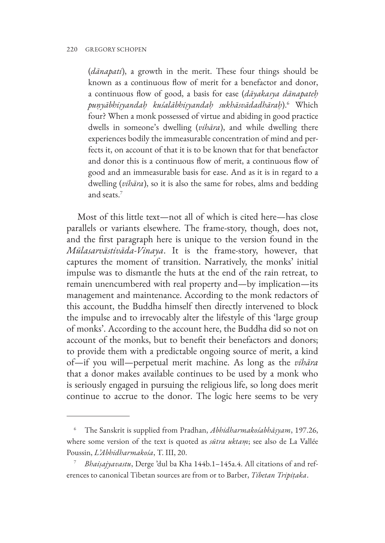(*dānapati*), a growth in the merit. These four things should be known as a continuous flow of merit for a benefactor and donor, a continuous flow of good, a basis for ease (*dāyakasya dānapateḥ puṇyābhiṣyandaḥ kuśalābhiṣyandaḥ sukhāsvādadhāraḥ*).<sup>6</sup> Which four? When a monk possessed of virtue and abiding in good practice dwells in someone's dwelling (*vihāra*), and while dwelling there experiences bodily the immeasurable concentration of mind and perfects it, on account of that it is to be known that for that benefactor and donor this is a continuous flow of merit, a continuous flow of good and an immeasurable basis for ease. And as it is in regard to a dwelling (*vihāra*), so it is also the same for robes, alms and bedding and seats.<sup>7</sup>

Most of this little text—not all of which is cited here—has close parallels or variants elsewhere. The frame-story, though, does not, and the first paragraph here is unique to the version found in the *Mūlasarvāstivāda-Vinaya*. It is the frame-story, however, that captures the moment of transition. Narratively, the monks' initial impulse was to dismantle the huts at the end of the rain retreat, to remain unencumbered with real property and—by implication—its management and maintenance. According to the monk redactors of this account, the Buddha himself then directly intervened to block the impulse and to irrevocably alter the lifestyle of this 'large group of monks'. According to the account here, the Buddha did so not on account of the monks, but to benefit their benefactors and donors; to provide them with a predictable ongoing source of merit, a kind of—if you will—perpetual merit machine. As long as the *vihāra*  that a donor makes available continues to be used by a monk who is seriously engaged in pursuing the religious life, so long does merit continue to accrue to the donor. The logic here seems to be very

<sup>6</sup> The Sanskrit is supplied from Pradhan, *Abhidharmakośabhāṣyam*, 197.26, where some version of the text is quoted as *sūtra uktaṃ*; see also de La Vallée Poussin, *L'Abhidharmakośa*, T. III, 20.

<sup>7</sup> *Bhaiṣajyavastu*, Derge 'dul ba Kha 144b.1–145a.4. All citations of and references to canonical Tibetan sources are from or to Barber, *Tibetan Tripiṭaka*.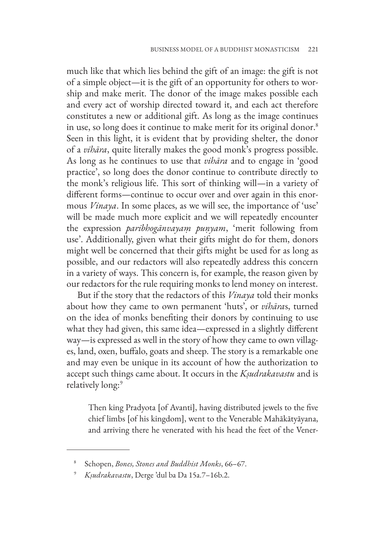much like that which lies behind the gift of an image: the gift is not of a simple object—it is the gift of an opportunity for others to worship and make merit. The donor of the image makes possible each and every act of worship directed toward it, and each act therefore constitutes a new or additional gift. As long as the image continues in use, so long does it continue to make merit for its original donor.<sup>8</sup> Seen in this light, it is evident that by providing shelter, the donor of a *vihāra*, quite literally makes the good monk's progress possible. As long as he continues to use that *vihāra* and to engage in 'good practice', so long does the donor continue to contribute directly to the monk's religious life. This sort of thinking will—in a variety of different forms—continue to occur over and over again in this enormous *Vinaya*. In some places, as we will see, the importance of 'use' will be made much more explicit and we will repeatedly encounter the expression *paribhogānvayaṃ puṇyam*, 'merit following from use'. Additionally, given what their gifts might do for them, donors might well be concerned that their gifts might be used for as long as possible, and our redactors will also repeatedly address this concern in a variety of ways. This concern is, for example, the reason given by our redactors for the rule requiring monks to lend money on interest.

But if the story that the redactors of this *Vinaya* told their monks about how they came to own permanent 'huts', or *vihāra*s, turned on the idea of monks benefiting their donors by continuing to use what they had given, this same idea—expressed in a slightly different way—is expressed as well in the story of how they came to own villages, land, oxen, buffalo, goats and sheep. The story is a remarkable one and may even be unique in its account of how the authorization to accept such things came about. It occurs in the *Kṣudrakavastu* and is relatively long:<sup>9</sup>

Then king Pradyota [of Avanti], having distributed jewels to the five chief limbs [of his kingdom], went to the Venerable Mahākātyāyana, and arriving there he venerated with his head the feet of the Vener-

<sup>8</sup> Schopen, *Bones, Stones and Buddhist Monks*, 66–67.

<sup>9</sup> *Kṣudrakavastu*, Derge 'dul ba Da 15a.7–16b.2.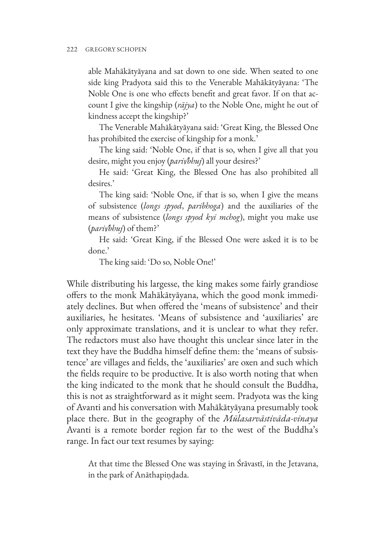able Mahākātyāyana and sat down to one side. When seated to one side king Pradyota said this to the Venerable Mahākātyāyana: 'The Noble One is one who effects benefit and great favor. If on that account I give the kingship (*rājya*) to the Noble One, might he out of kindness accept the kingship?'

The Venerable Mahākātyāyana said: 'Great King, the Blessed One has prohibited the exercise of kingship for a monk.'

The king said: 'Noble One, if that is so, when I give all that you desire, might you enjoy (*pari√bhuj*) all your desires?'

He said: 'Great King, the Blessed One has also prohibited all desires.'

The king said: 'Noble One, if that is so, when I give the means of subsistence (*longs spyod*, *paribhoga*) and the auxiliaries of the means of subsistence (*longs spyod kyi mchog*), might you make use (*pari√bhuj*) of them?'

He said: 'Great King, if the Blessed One were asked it is to be done.'

The king said: 'Do so, Noble One!'

While distributing his largesse, the king makes some fairly grandiose offers to the monk Mahākātyāyana, which the good monk immediately declines. But when offered the 'means of subsistence' and their auxiliaries, he hesitates. 'Means of subsistence and 'auxiliaries' are only approximate translations, and it is unclear to what they refer. The redactors must also have thought this unclear since later in the text they have the Buddha himself define them: the 'means of subsistence' are villages and fields, the 'auxiliaries' are oxen and such which the fields require to be productive. It is also worth noting that when the king indicated to the monk that he should consult the Buddha, this is not as straightforward as it might seem. Pradyota was the king of Avanti and his conversation with Mahākātyāyana presumably took place there. But in the geography of the *Mūlasarvāstivāda-vinaya* Avanti is a remote border region far to the west of the Buddha's range. In fact our text resumes by saying:

At that time the Blessed One was staying in Śrāvastī, in the Jetavana, in the park of Anāthapiṇḍada.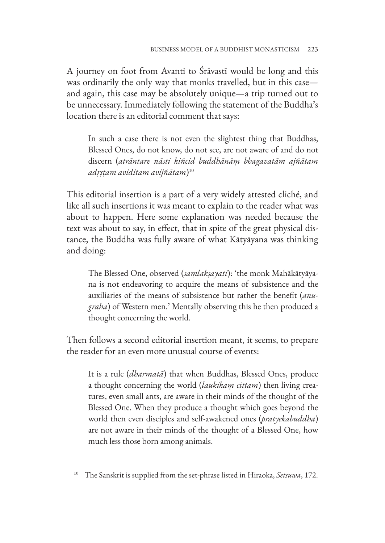A journey on foot from Avanti to Śrāvastī would be long and this was ordinarily the only way that monks travelled, but in this case and again, this case may be absolutely unique—a trip turned out to be unnecessary. Immediately following the statement of the Buddha's location there is an editorial comment that says:

In such a case there is not even the slightest thing that Buddhas, Blessed Ones, do not know, do not see, are not aware of and do not discern (*atrāntare nāsti kiñcid buddhānāṃ bhagavatām ajñātam adṛṣṭam aviditam avijñātam*) 10

This editorial insertion is a part of a very widely attested cliché, and like all such insertions it was meant to explain to the reader what was about to happen. Here some explanation was needed because the text was about to say, in effect, that in spite of the great physical distance, the Buddha was fully aware of what Kātyāyana was thinking and doing:

The Blessed One, observed (*saṃlakṣayati*): 'the monk Mahākātyāyana is not endeavoring to acquire the means of subsistence and the auxiliaries of the means of subsistence but rather the benefit (*anugraha*) of Western men.' Mentally observing this he then produced a thought concerning the world.

Then follows a second editorial insertion meant, it seems, to prepare the reader for an even more unusual course of events:

It is a rule (*dharmatā*) that when Buddhas, Blessed Ones, produce a thought concerning the world (*laukikaṃ cittam*) then living creatures, even small ants, are aware in their minds of the thought of the Blessed One. When they produce a thought which goes beyond the world then even disciples and self-awakened ones (*pratyekabuddha*) are not aware in their minds of the thought of a Blessed One, how much less those born among animals.

<sup>10</sup> The Sanskrit is supplied from the set-phrase listed in Hiraoka, *Setsuwa*, 172.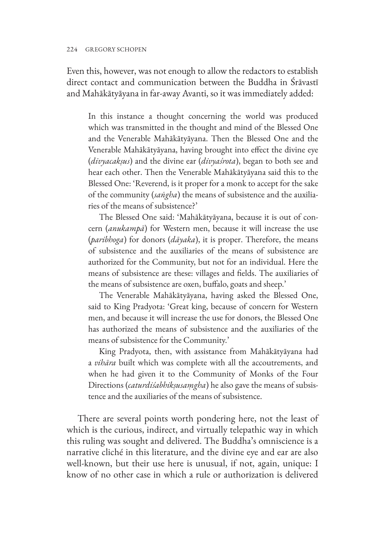#### 224 GREGORY SCHOPEN

Even this, however, was not enough to allow the redactors to establish direct contact and communication between the Buddha in Śrāvastī and Mahākātyāyana in far-away Avanti, so it was immediately added:

In this instance a thought concerning the world was produced which was transmitted in the thought and mind of the Blessed One and the Venerable Mahākātyāyana. Then the Blessed One and the Venerable Mahākātyāyana, having brought into effect the divine eye (*divyacakṣus*) and the divine ear (*divyaśrota*), began to both see and hear each other. Then the Venerable Mahākātyāyana said this to the Blessed One: 'Reverend, is it proper for a monk to accept for the sake of the community (*saṅgha*) the means of subsistence and the auxiliaries of the means of subsistence?'

The Blessed One said: 'Mahākātyāyana, because it is out of concern (*anukampā*) for Western men, because it will increase the use (*paribhoga*) for donors (*dāyaka*), it is proper. Therefore, the means of subsistence and the auxiliaries of the means of subsistence are authorized for the Community, but not for an individual. Here the means of subsistence are these: villages and fields. The auxiliaries of the means of subsistence are oxen, buffalo, goats and sheep.'

The Venerable Mahākātyāyana, having asked the Blessed One, said to King Pradyota: 'Great king, because of concern for Western men, and because it will increase the use for donors, the Blessed One has authorized the means of subsistence and the auxiliaries of the means of subsistence for the Community.'

King Pradyota, then, with assistance from Mahākātyāyana had a *vihāra* built which was complete with all the accoutrements, and when he had given it to the Community of Monks of the Four Directions (*caturdiśabhikṣusaṃgha*) he also gave the means of subsistence and the auxiliaries of the means of subsistence.

There are several points worth pondering here, not the least of which is the curious, indirect, and virtually telepathic way in which this ruling was sought and delivered. The Buddha's omniscience is a narrative cliché in this literature, and the divine eye and ear are also well-known, but their use here is unusual, if not, again, unique: I know of no other case in which a rule or authorization is delivered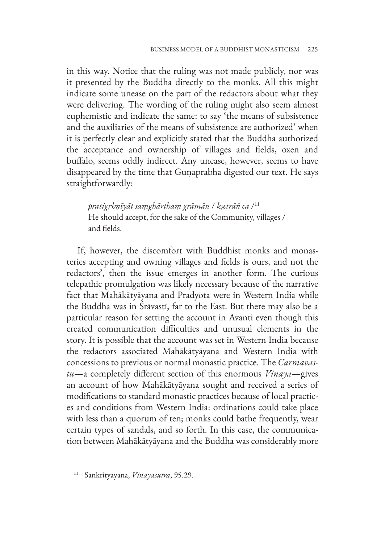in this way. Notice that the ruling was not made publicly, nor was it presented by the Buddha directly to the monks. All this might indicate some unease on the part of the redactors about what they were delivering. The wording of the ruling might also seem almost euphemistic and indicate the same: to say 'the means of subsistence and the auxiliaries of the means of subsistence are authorized' when it is perfectly clear and explicitly stated that the Buddha authorized the acceptance and ownership of villages and fields, oxen and buffalo, seems oddly indirect. Any unease, however, seems to have disappeared by the time that Guṇaprabha digested our text. He says straightforwardly:

*pratigṛhṇīyāt saṃghārthaṃ grāmān* / *kṣetrāñ ca* /11 He should accept, for the sake of the Community, villages / and fields.

If, however, the discomfort with Buddhist monks and monasteries accepting and owning villages and fields is ours, and not the redactors', then the issue emerges in another form. The curious telepathic promulgation was likely necessary because of the narrative fact that Mahākātyāyana and Pradyota were in Western India while the Buddha was in Śrāvastī, far to the East. But there may also be a particular reason for setting the account in Avanti even though this created communication difficulties and unusual elements in the story. It is possible that the account was set in Western India because the redactors associated Mahākātyāyana and Western India with concessions to previous or normal monastic practice. The *Carmavastu*—a completely different section of this enormous *Vinaya*—gives an account of how Mahākātyāyana sought and received a series of modifications to standard monastic practices because of local practices and conditions from Western India: ordinations could take place with less than a quorum of ten; monks could bathe frequently, wear certain types of sandals, and so forth. In this case, the communication between Mahākātyāyana and the Buddha was considerably more

<sup>11</sup> Sankrityayana, *Vinayasūtra*, 95.29.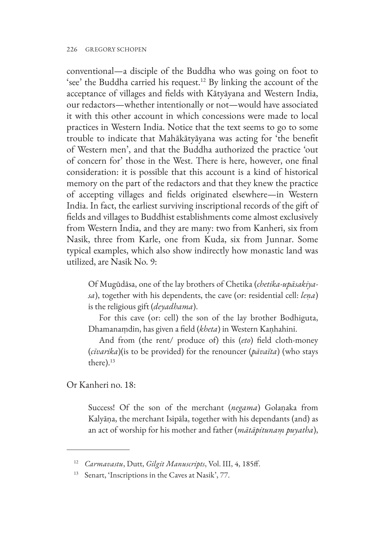conventional—a disciple of the Buddha who was going on foot to 'see' the Buddha carried his request.12 By linking the account of the acceptance of villages and fields with Kātyāyana and Western India, our redactors—whether intentionally or not—would have associated it with this other account in which concessions were made to local practices in Western India. Notice that the text seems to go to some trouble to indicate that Mahākātyāyana was acting for 'the benefit of Western men', and that the Buddha authorized the practice 'out of concern for' those in the West. There is here, however, one final consideration: it is possible that this account is a kind of historical memory on the part of the redactors and that they knew the practice of accepting villages and fields originated elsewhere—in Western India. In fact, the earliest surviving inscriptional records of the gift of fields and villages to Buddhist establishments come almost exclusively from Western India, and they are many: two from Kanheri, six from Nasik, three from Karle, one from Kuda, six from Junnar. Some typical examples, which also show indirectly how monastic land was utilized, are Nasik No. 9:

Of Mugūdāsa, one of the lay brothers of Chetika (*chetika-upāsakiyasa*), together with his dependents, the cave (or: residential cell: *leṇa*) is the religious gift (*deyadhama*).

For this cave (or: cell) the son of the lay brother Bodhiguta, Dhamanaṃdin, has given a field (*kheta*) in Western Kaṇhahini.

And from (the rent/ produce of) this (*eto*) field cloth-money (*cīvarika*)(is to be provided) for the renouncer (*pāvaïta*) (who stays there).<sup>13</sup>

Or Kanheri no. 18:

Success! Of the son of the merchant (*negama*) Golaṇaka from Kalyāṇa, the merchant Isipāla, together with his dependants (and) as an act of worship for his mother and father (*mātāpitunaṃ puyatha*),

<sup>12</sup> *Carmavastu*, Dutt, *Gilgit Manuscripts*, Vol. III, 4, 185ff.

<sup>&</sup>lt;sup>13</sup> Senart, 'Inscriptions in the Caves at Nasik', 77.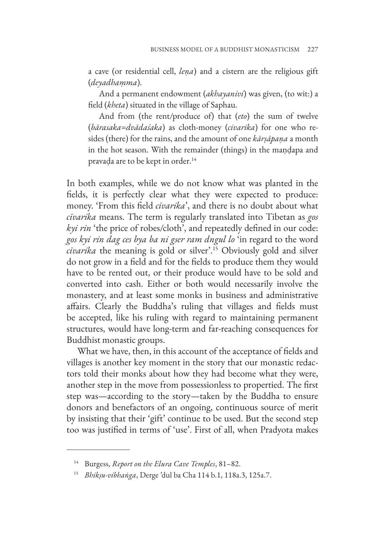a cave (or residential cell, *leṇa*) and a cistern are the religious gift (*deyadhaṃma*).

And a permanent endowment (*akhayanivi*) was given, (to wit:) a field (*kheta*) situated in the village of Saphau.

And from (the rent/produce of) that (*eto*) the sum of twelve (*bārasaka*=*dvādaśaka*) as cloth-money (*civarika*) for one who resides (there) for the rains, and the amount of one *kārṣāpaṇa* a month in the hot season. With the remainder (things) in the maṇḍapa and pravaḍa are to be kept in order.14

In both examples, while we do not know what was planted in the fields, it is perfectly clear what they were expected to produce: money. 'From this field *cīvarika*', and there is no doubt about what *cīvarika* means. The term is regularly translated into Tibetan as *gos kyi rin* 'the price of robes/cloth', and repeatedly defined in our code: *gos kyi rin dag ces bya ba ni gser ram dngul lo* 'in regard to the word *cīvarika* the meaning is gold or silver'.15 Obviously gold and silver do not grow in a field and for the fields to produce them they would have to be rented out, or their produce would have to be sold and converted into cash. Either or both would necessarily involve the monastery, and at least some monks in business and administrative affairs. Clearly the Buddha's ruling that villages and fields must be accepted, like his ruling with regard to maintaining permanent structures, would have long-term and far-reaching consequences for Buddhist monastic groups.

What we have, then, in this account of the acceptance of fields and villages is another key moment in the story that our monastic redactors told their monks about how they had become what they were, another step in the move from possessionless to propertied. The first step was—according to the story—taken by the Buddha to ensure donors and benefactors of an ongoing, continuous source of merit by insisting that their 'gift' continue to be used. But the second step too was justified in terms of 'use'. First of all, when Pradyota makes

<sup>14</sup> Burgess, *Report on the Elura Cave Temples*, 81–82.

<sup>15</sup> *Bhikṣu-vibhaṅga*, Derge 'dul ba Cha 114 b.1, 118a.3, 125a.7.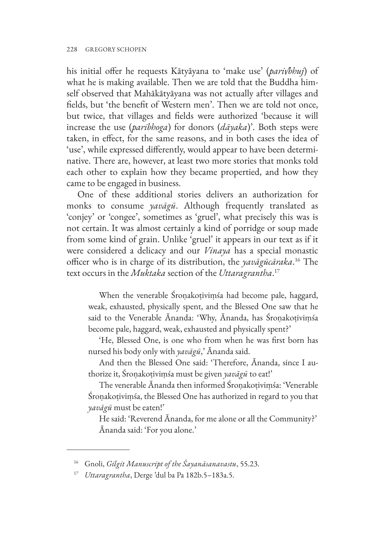his initial offer he requests Kātyāyana to 'make use' (*pari√bhuj*) of what he is making available. Then we are told that the Buddha himself observed that Mahākātyāyana was not actually after villages and fields, but 'the benefit of Western men'. Then we are told not once, but twice, that villages and fields were authorized 'because it will increase the use (*paribhoga*) for donors (*dāyaka*)'. Both steps were taken, in effect, for the same reasons, and in both cases the idea of 'use', while expressed differently, would appear to have been determinative. There are, however, at least two more stories that monks told each other to explain how they became propertied, and how they came to be engaged in business.

One of these additional stories delivers an authorization for monks to consume *yavāgū*. Although frequently translated as 'conjey' or 'congee', sometimes as 'gruel', what precisely this was is not certain. It was almost certainly a kind of porridge or soup made from some kind of grain. Unlike 'gruel' it appears in our text as if it were considered a delicacy and our *Vinaya* has a special monastic officer who is in charge of its distribution, the *yavāgūcāraka*. 16 The text occurs in the *Muktaka* section of the *Uttaragrantha*. 17

When the venerable Śroṇakoṭiviṃśa had become pale, haggard, weak, exhausted, physically spent, and the Blessed One saw that he said to the Venerable Ānanda: 'Why, Ānanda, has Śroṇakoṭiviṃśa become pale, haggard, weak, exhausted and physically spent?'

'He, Blessed One, is one who from when he was first born has nursed his body only with *yavāgū*,' Ānanda said.

And then the Blessed One said: 'Therefore, Ānanda, since I authorize it, Śroṇakoṭiviṃśa must be given *yavāgū* to eat!'

The venerable Ānanda then informed Śroṇakoṭiviṃśa: 'Venerable Śroṇakoṭiviṃśa, the Blessed One has authorized in regard to you that *yavāgū* must be eaten!'

He said: 'Reverend Ānanda, for me alone or all the Community?' Ānanda said: 'For you alone.'

<sup>16</sup> Gnoli, *Gilgit Manuscript of the Śayanāsanavastu*, 55.23.

<sup>17</sup> *Uttaragrantha*, Derge 'dul ba Pa 182b.5–183a.5.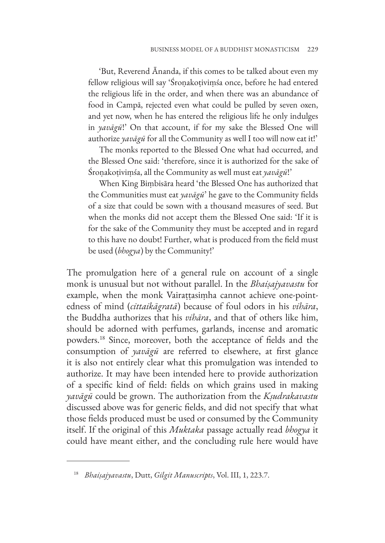'But, Reverend Ānanda, if this comes to be talked about even my fellow religious will say 'Śroṇakoṭiviṃśa once, before he had entered the religious life in the order, and when there was an abundance of food in Campā, rejected even what could be pulled by seven oxen, and yet now, when he has entered the religious life he only indulges in *yavāgū*!' On that account, if for my sake the Blessed One will authorize *yavāgū* for all the Community as well I too will now eat it!'

The monks reported to the Blessed One what had occurred, and the Blessed One said: 'therefore, since it is authorized for the sake of Śroṇakoṭiviṃśa, all the Community as well must eat *yavāgū*!'

When King Biṃbisāra heard 'the Blessed One has authorized that the Communities must eat *yavāgū*' he gave to the Community fields of a size that could be sown with a thousand measures of seed. But when the monks did not accept them the Blessed One said: 'If it is for the sake of the Community they must be accepted and in regard to this have no doubt! Further, what is produced from the field must be used (*bhogya*) by the Community!'

The promulgation here of a general rule on account of a single monk is unusual but not without parallel. In the *Bhaiṣajyavastu* for example, when the monk Vairaṭṭasiṃha cannot achieve one-pointedness of mind (*cittaikāgratā*) because of foul odors in his *vihāra*, the Buddha authorizes that his *vihāra*, and that of others like him, should be adorned with perfumes, garlands, incense and aromatic powders.18 Since, moreover, both the acceptance of fields and the consumption of *yavāgū* are referred to elsewhere, at first glance it is also not entirely clear what this promulgation was intended to authorize. It may have been intended here to provide authorization of a specific kind of field: fields on which grains used in making *yavāgū* could be grown. The authorization from the *Kṣudrakavastu* discussed above was for generic fields, and did not specify that what those fields produced must be used or consumed by the Community itself. If the original of this *Muktaka* passage actually read *bhogya* it could have meant either, and the concluding rule here would have

<sup>18</sup> *Bhaiṣajyavastu*, Dutt, *Gilgit Manuscripts*, Vol. III, 1, 223.7.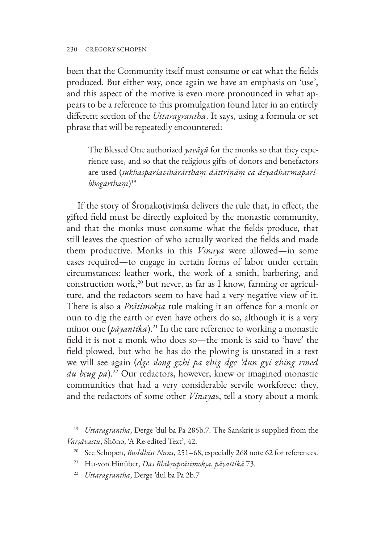been that the Community itself must consume or eat what the fields produced. But either way, once again we have an emphasis on 'use', and this aspect of the motive is even more pronounced in what appears to be a reference to this promulgation found later in an entirely different section of the *Uttaragrantha*. It says, using a formula or set phrase that will be repeatedly encountered:

The Blessed One authorized *yavāgū* for the monks so that they experience ease, and so that the religious gifts of donors and benefactors are used (*sukhasparśavihārārthaṃ dāttrīṇāṃ ca deyadharmaparibhogārthaṃ*) 19

If the story of Śroṇakoṭiviṃśa delivers the rule that, in effect, the gifted field must be directly exploited by the monastic community, and that the monks must consume what the fields produce, that still leaves the question of who actually worked the fields and made them productive. Monks in this *Vinaya* were allowed—in some cases required—to engage in certain forms of labor under certain circumstances: leather work, the work of a smith, barbering, and construction work, $20$  but never, as far as I know, farming or agriculture, and the redactors seem to have had a very negative view of it. There is also a *Prātimokṣa* rule making it an offence for a monk or nun to dig the earth or even have others do so, although it is a very minor one  $(p\bar{a}yantika)$ .<sup>21</sup> In the rare reference to working a monastic field it is not a monk who does so—the monk is said to 'have' the field plowed, but who he has do the plowing is unstated in a text we will see again (*dge slong gzhi pa zhig dge 'dun gyi zhing rmed du bcug pa*).22 Our redactors, however, knew or imagined monastic communities that had a very considerable servile workforce: they, and the redactors of some other *Vinaya*s, tell a story about a monk

<sup>19</sup> *Uttaragrantha*, Derge 'dul ba Pa 285b.7. The Sanskrit is supplied from the *Varṣāvastu*, Shōno, 'A Re-edited Text', 42.

<sup>&</sup>lt;sup>20</sup> See Schopen, *Buddhist Nuns*, 251-68, especially 268 note 62 for references.

<sup>21</sup> Hu-von Hinüber, *Das Bhikṣuprātimokṣa, pāyattikā* 73.

<sup>22</sup> *Uttaragrantha*, Derge 'dul ba Pa 2b.7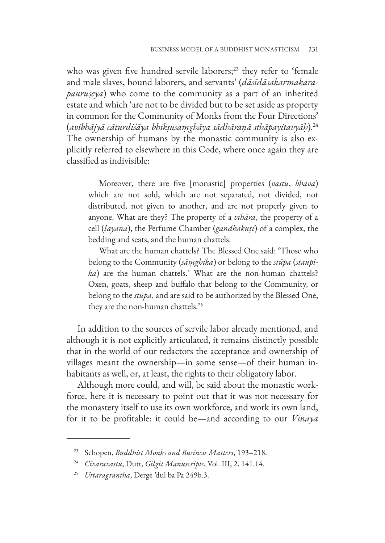who was given five hundred servile laborers;<sup>23</sup> they refer to 'female and male slaves, bound laborers, and servants' (*dāsīdāsakarmakarapauruṣeya*) who come to the community as a part of an inherited estate and which 'are not to be divided but to be set aside as property in common for the Community of Monks from the Four Directions' (*avibhājyā cāturdiśāya bhikṣusaṃghāya sādhāraṇā sthāpayitavyāḥ*).24 The ownership of humans by the monastic community is also explicitly referred to elsewhere in this Code, where once again they are classified as indivisible:

Moreover, there are five [monastic] properties (*vastu*, *bhāva*) which are not sold, which are not separated, not divided, not distributed, not given to another, and are not properly given to anyone. What are they? The property of a *vihāra*, the property of a cell (*layana*), the Perfume Chamber (*gandhakuṭi*) of a complex, the bedding and seats, and the human chattels.

What are the human chattels? The Blessed One said: 'Those who belong to the Community (*sāṃghika*) or belong to the *stūpa* (*staupika*) are the human chattels.' What are the non-human chattels? Oxen, goats, sheep and buffalo that belong to the Community, or belong to the *stūpa*, and are said to be authorized by the Blessed One, they are the non-human chattels.25

In addition to the sources of servile labor already mentioned, and although it is not explicitly articulated, it remains distinctly possible that in the world of our redactors the acceptance and ownership of villages meant the ownership—in some sense—of their human inhabitants as well, or, at least, the rights to their obligatory labor.

Although more could, and will, be said about the monastic workforce, here it is necessary to point out that it was not necessary for the monastery itself to use its own workforce, and work its own land, for it to be profitable: it could be—and according to our *Vinaya*

<sup>23</sup> Schopen, *Buddhist Monks and Business Matters*, 193–218.

<sup>24</sup> *Cīvaravastu*, Dutt, *Gilgit Manuscripts*, Vol. III, 2, 141.14.

<sup>25</sup> *Uttaragrantha*, Derge 'dul ba Pa 249b.3.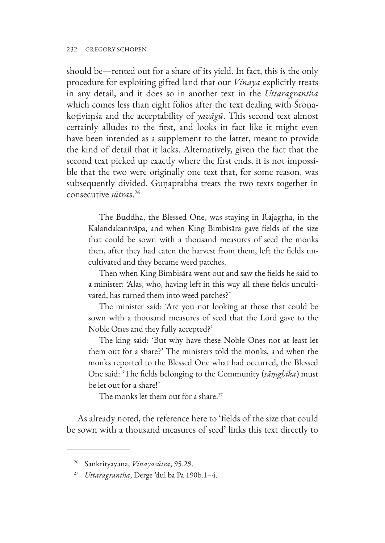should be—rented out for a share of its yield. In fact, this is the only procedure for exploiting gifted land that our *Vinaya* explicitly treats in any detail, and it does so in another text in the *Uttaragrantha* which comes less than eight folios after the text dealing with Śroṇakoṭiviṃśa and the acceptability of *yavāgū*. This second text almost certainly alludes to the first, and looks in fact like it might even have been intended as a supplement to the latter, meant to provide the kind of detail that it lacks. Alternatively, given the fact that the second text picked up exactly where the first ends, it is not impossible that the two were originally one text that, for some reason, was subsequently divided. Guṇaprabha treats the two texts together in consecutive *sūtra*s.26

The Buddha, the Blessed One, was staying in Rājagṛha, in the Kalandakanivāpa, and when King Bimbisāra gave fields of the size that could be sown with a thousand measures of seed the monks then, after they had eaten the harvest from them, left the fields uncultivated and they became weed patches.

Then when King Bimbisāra went out and saw the fields he said to a minister: 'Alas, who, having left in this way all these fields uncultivated, has turned them into weed patches?'

The minister said: 'Are you not looking at those that could be sown with a thousand measures of seed that the Lord gave to the Noble Ones and they fully accepted?'

The king said: 'But why have these Noble Ones not at least let them out for a share?' The ministers told the monks, and when the monks reported to the Blessed One what had occurred, the Blessed One said: 'The fields belonging to the Community (*sāṃghika*) must be let out for a share!'

The monks let them out for a share.<sup>27</sup>

As already noted, the reference here to 'fields of the size that could be sown with a thousand measures of seed' links this text directly to

<sup>26</sup> Sankrityayana, *Vinayasūtra*, 95.29.

<sup>27</sup> *Uttaragrantha*, Derge 'dul ba Pa 190b.1–4.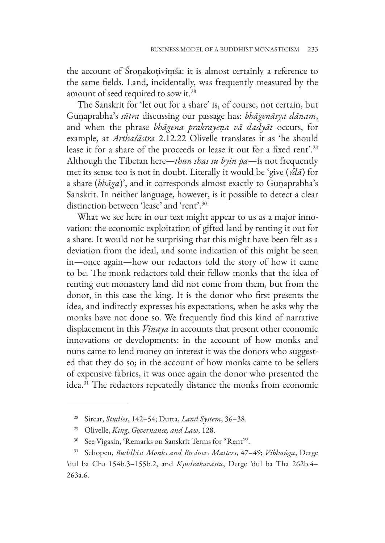the account of Śroṇakoṭiviṃśa: it is almost certainly a reference to the same fields. Land, incidentally, was frequently measured by the amount of seed required to sow it.28

The Sanskrit for 'let out for a share' is, of course, not certain, but Guṇaprabha's *sūtra* discussing our passage has: *bhāgenāsya dānam*, and when the phrase *bhāgena prakrayeṇa vā dadyāt* occurs, for example, at *Arthaśāstra* 2.12.22 Olivelle translates it as 'he should lease it for a share of the proceeds or lease it out for a fixed rent'.29 Although the Tibetan here—*thun shas su byin pa*—is not frequently met its sense too is not in doubt. Literally it would be 'give (*√dā*) for a share (*bhāga*)', and it corresponds almost exactly to Guṇaprabha's Sanskrit. In neither language, however, is it possible to detect a clear distinction between 'lease' and 'rent'.30

What we see here in our text might appear to us as a major innovation: the economic exploitation of gifted land by renting it out for a share. It would not be surprising that this might have been felt as a deviation from the ideal, and some indication of this might be seen in—once again—how our redactors told the story of how it came to be. The monk redactors told their fellow monks that the idea of renting out monastery land did not come from them, but from the donor, in this case the king. It is the donor who first presents the idea, and indirectly expresses his expectations, when he asks why the monks have not done so. We frequently find this kind of narrative displacement in this *Vinaya* in accounts that present other economic innovations or developments: in the account of how monks and nuns came to lend money on interest it was the donors who suggested that they do so; in the account of how monks came to be sellers of expensive fabrics, it was once again the donor who presented the idea.<sup>31</sup> The redactors repeatedly distance the monks from economic

<sup>28</sup> Sircar, *Studies*, 142–54; Dutta, *Land System*, 36–38.

<sup>29</sup> Olivelle, *King, Governance, and Law*, 128.

<sup>30</sup> See Vigasin, 'Remarks on Sanskrit Terms for "Rent"'.

<sup>31</sup> Schopen, *Buddhist Monks and Business Matters*, 47–49; *Vibhaṅga*, Derge 'dul ba Cha 154b.3–155b.2, and *Kṣudrakavastu*, Derge 'dul ba Tha 262b.4– 263a.6.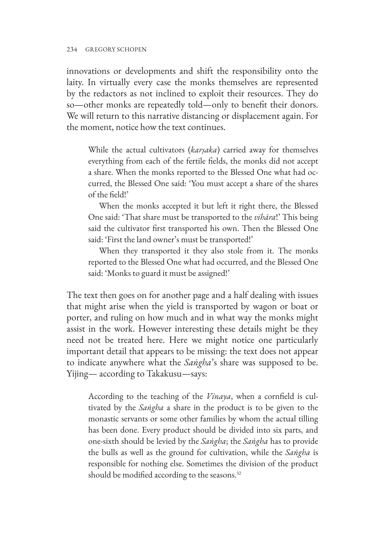innovations or developments and shift the responsibility onto the laity. In virtually every case the monks themselves are represented by the redactors as not inclined to exploit their resources. They do so—other monks are repeatedly told—only to benefit their donors. We will return to this narrative distancing or displacement again. For the moment, notice how the text continues.

While the actual cultivators (*karṣaka*) carried away for themselves everything from each of the fertile fields, the monks did not accept a share. When the monks reported to the Blessed One what had occurred, the Blessed One said: 'You must accept a share of the shares of the field!'

When the monks accepted it but left it right there, the Blessed One said: 'That share must be transported to the *vihāra*!' This being said the cultivator first transported his own. Then the Blessed One said: 'First the land owner's must be transported!'

When they transported it they also stole from it. The monks reported to the Blessed One what had occurred, and the Blessed One said: 'Monks to guard it must be assigned!'

The text then goes on for another page and a half dealing with issues that might arise when the yield is transported by wagon or boat or porter, and ruling on how much and in what way the monks might assist in the work. However interesting these details might be they need not be treated here. Here we might notice one particularly important detail that appears to be missing: the text does not appear to indicate anywhere what the *Saṅgha*'s share was supposed to be. Yijing— according to Takakusu—says:

According to the teaching of the *Vinaya*, when a cornfield is cultivated by the *Saṅgha* a share in the product is to be given to the monastic servants or some other families by whom the actual tilling has been done. Every product should be divided into six parts, and one-sixth should be levied by the *Saṅgha*; the *Saṅgha* has to provide the bulls as well as the ground for cultivation, while the *Saṅgha* is responsible for nothing else. Sometimes the division of the product should be modified according to the seasons.<sup>32</sup>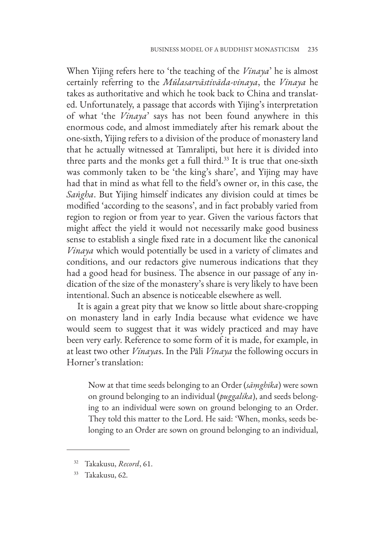When Yijing refers here to 'the teaching of the *Vinaya*' he is almost certainly referring to the *Mūlasarvāstivāda-vinaya*, the *Vinaya* he takes as authoritative and which he took back to China and translated. Unfortunately, a passage that accords with Yijing's interpretation of what 'the *Vinaya*' says has not been found anywhere in this enormous code, and almost immediately after his remark about the one-sixth, Yijing refers to a division of the produce of monastery land that he actually witnessed at Tamralipti, but here it is divided into three parts and the monks get a full third.<sup>33</sup> It is true that one-sixth was commonly taken to be 'the king's share', and Yijing may have had that in mind as what fell to the field's owner or, in this case, the *Saṅgha*. But Yijing himself indicates any division could at times be modified 'according to the seasons', and in fact probably varied from region to region or from year to year. Given the various factors that might affect the yield it would not necessarily make good business sense to establish a single fixed rate in a document like the canonical *Vinaya* which would potentially be used in a variety of climates and conditions, and our redactors give numerous indications that they had a good head for business. The absence in our passage of any indication of the size of the monastery's share is very likely to have been intentional. Such an absence is noticeable elsewhere as well.

It is again a great pity that we know so little about share-cropping on monastery land in early India because what evidence we have would seem to suggest that it was widely practiced and may have been very early. Reference to some form of it is made, for example, in at least two other *Vinaya*s. In the Pāli *Vinaya* the following occurs in Horner's translation:

Now at that time seeds belonging to an Order (*sāṃghika*) were sown on ground belonging to an individual (*puggalika*), and seeds belonging to an individual were sown on ground belonging to an Order. They told this matter to the Lord. He said: 'When, monks, seeds belonging to an Order are sown on ground belonging to an individual,

<sup>32</sup> Takakusu, *Record*, 61.

<sup>33</sup> Takakusu, 62.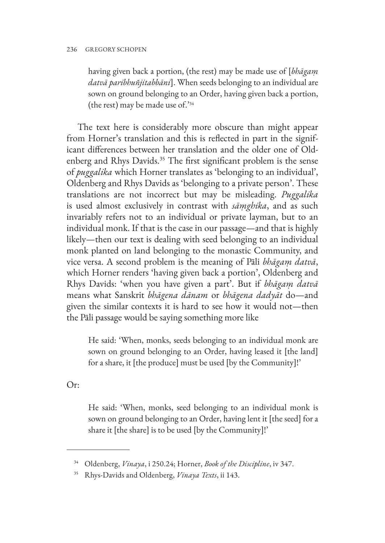having given back a portion, (the rest) may be made use of [*bhāgaṃ datvā paribhuñjitabbāni*]. When seeds belonging to an individual are sown on ground belonging to an Order, having given back a portion, (the rest) may be made use of.'34

The text here is considerably more obscure than might appear from Horner's translation and this is reflected in part in the significant differences between her translation and the older one of Oldenberg and Rhys Davids.<sup>35</sup> The first significant problem is the sense of *puggalika* which Horner translates as 'belonging to an individual', Oldenberg and Rhys Davids as 'belonging to a private person'. These translations are not incorrect but may be misleading. *Puggalika* is used almost exclusively in contrast with *sāṃghika*, and as such invariably refers not to an individual or private layman, but to an individual monk. If that is the case in our passage—and that is highly likely—then our text is dealing with seed belonging to an individual monk planted on land belonging to the monastic Community, and vice versa. A second problem is the meaning of Pāli *bhāgaṃ datvā*, which Horner renders 'having given back a portion', Oldenberg and Rhys Davids: 'when you have given a part'. But if *bhāgaṃ datvā* means what Sanskrit *bhāgena dānam* or *bhāgena dadyāt* do—and given the similar contexts it is hard to see how it would not—then the Pāli passage would be saying something more like

He said: 'When, monks, seeds belonging to an individual monk are sown on ground belonging to an Order, having leased it [the land] for a share, it [the produce] must be used [by the Community]!'

Or:

He said: 'When, monks, seed belonging to an individual monk is sown on ground belonging to an Order, having lent it [the seed] for a share it [the share] is to be used [by the Community]!'

<sup>34</sup> Oldenberg, *Vinaya*, i 250.24; Horner, *Book of the Discipline*, iv 347.

<sup>35</sup> Rhys-Davids and Oldenberg, *Vinaya Texts*, ii 143.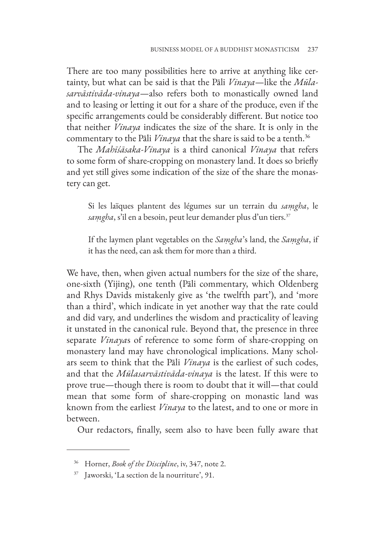There are too many possibilities here to arrive at anything like certainty, but what can be said is that the Pāli *Vinaya*—like the *Mūlasarvāstivāda-vinaya*—also refers both to monastically owned land and to leasing or letting it out for a share of the produce, even if the specific arrangements could be considerably different. But notice too that neither *Vinaya* indicates the size of the share. It is only in the commentary to the Pāli *Vinaya* that the share is said to be a tenth.<sup>36</sup>

The *Mahīśāsaka-Vinaya* is a third canonical *Vinaya* that refers to some form of share-cropping on monastery land. It does so briefly and yet still gives some indication of the size of the share the monastery can get.

Si les laïques plantent des légumes sur un terrain du *saṃgha*, le *saṃgha*, s'il en a besoin, peut leur demander plus d'un tiers.37

If the laymen plant vegetables on the *Saṃgha*'s land, the *Saṃgha*, if it has the need, can ask them for more than a third.

We have, then, when given actual numbers for the size of the share, one-sixth (Yijing), one tenth (Pāli commentary, which Oldenberg and Rhys Davids mistakenly give as 'the twelfth part'), and 'more than a third', which indicate in yet another way that the rate could and did vary, and underlines the wisdom and practicality of leaving it unstated in the canonical rule. Beyond that, the presence in three separate *Vinaya*s of reference to some form of share-cropping on monastery land may have chronological implications. Many scholars seem to think that the Pāli *Vinaya* is the earliest of such codes, and that the *Mūlasarvāstivāda-vinaya* is the latest. If this were to prove true—though there is room to doubt that it will—that could mean that some form of share-cropping on monastic land was known from the earliest *Vinaya* to the latest, and to one or more in between.

Our redactors, finally, seem also to have been fully aware that

<sup>36</sup> Horner, *Book of the Discipline*, iv, 347, note 2.

<sup>37</sup> Jaworski, 'La section de la nourriture', 91.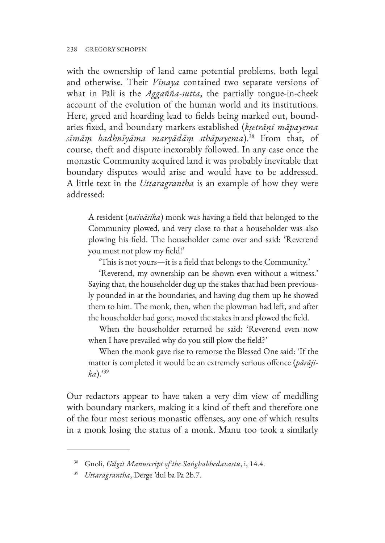with the ownership of land came potential problems, both legal and otherwise. Their *Vinaya* contained two separate versions of what in Pāli is the *Aggañña-sutta*, the partially tongue-in-cheek account of the evolution of the human world and its institutions. Here, greed and hoarding lead to fields being marked out, boundaries fixed, and boundary markers established (*kṣetrāṇi māpayema sīmāṃ badhnīyāma maryādāṃ sthāpayema*).38 From that, of course, theft and dispute inexorably followed. In any case once the monastic Community acquired land it was probably inevitable that boundary disputes would arise and would have to be addressed. A little text in the *Uttaragrantha* is an example of how they were addressed:

A resident (*naivāsika*) monk was having a field that belonged to the Community plowed, and very close to that a householder was also plowing his field. The householder came over and said: 'Reverend you must not plow my field!'

'This is not yours—it is a field that belongs to the Community.'

'Reverend, my ownership can be shown even without a witness.' Saying that, the householder dug up the stakes that had been previously pounded in at the boundaries, and having dug them up he showed them to him. The monk, then, when the plowman had left, and after the householder had gone, moved the stakes in and plowed the field.

When the householder returned he said: 'Reverend even now when I have prevailed why do you still plow the field?'

When the monk gave rise to remorse the Blessed One said: 'If the matter is completed it would be an extremely serious offence (*pārājika*).'39

Our redactors appear to have taken a very dim view of meddling with boundary markers, making it a kind of theft and therefore one of the four most serious monastic offenses, any one of which results in a monk losing the status of a monk. Manu too took a similarly

<sup>38</sup> Gnoli, *Gilgit Manuscript of the Saṅghabhedavastu*, i, 14.4.

<sup>39</sup> *Uttaragrantha*, Derge 'dul ba Pa 2b.7.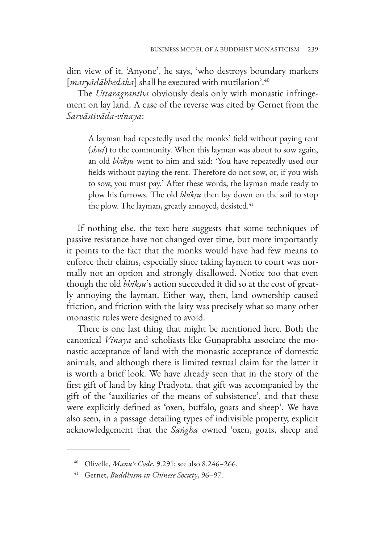dim view of it. 'Anyone', he says, 'who destroys boundary markers [*maryādābhedaka*] shall be executed with mutilation'.40

The *Uttaragrantha* obviously deals only with monastic infringement on lay land. A case of the reverse was cited by Gernet from the *Sarvāstivāda-vinaya*:

A layman had repeatedly used the monks' field without paying rent (*shui*) to the community. When this layman was about to sow again, an old *bhikṣu* went to him and said: 'You have repeatedly used our fields without paying the rent. Therefore do not sow, or, if you wish to sow, you must pay.' After these words, the layman made ready to plow his furrows. The old *bhikṣu* then lay down on the soil to stop the plow. The layman, greatly annoyed, desisted.<sup>41</sup>

If nothing else, the text here suggests that some techniques of passive resistance have not changed over time, but more importantly it points to the fact that the monks would have had few means to enforce their claims, especially since taking laymen to court was normally not an option and strongly disallowed. Notice too that even though the old *bhikṣu*'s action succeeded it did so at the cost of greatly annoying the layman. Either way, then, land ownership caused friction, and friction with the laity was precisely what so many other monastic rules were designed to avoid.

There is one last thing that might be mentioned here. Both the canonical *Vinaya* and scholiasts like Guṇaprabha associate the monastic acceptance of land with the monastic acceptance of domestic animals, and although there is limited textual claim for the latter it is worth a brief look. We have already seen that in the story of the first gift of land by king Pradyota, that gift was accompanied by the gift of the 'auxiliaries of the means of subsistence', and that these were explicitly defined as 'oxen, buffalo, goats and sheep'. We have also seen, in a passage detailing types of indivisible property, explicit acknowledgement that the *Saṅgha* owned 'oxen, goats, sheep and

<sup>40</sup> Olivelle, *Manu's Code*, 9.291; see also 8.246–266.

<sup>41</sup> Gernet, *Buddhism in Chinese Society*, 96–97.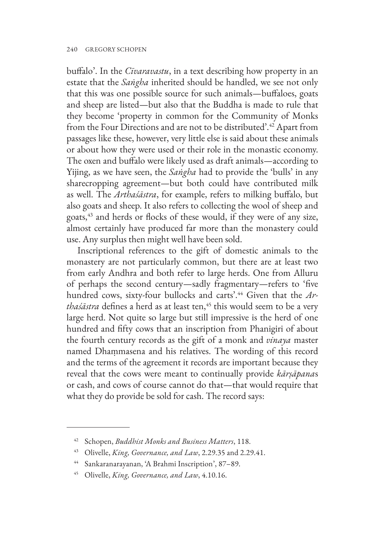buffalo'. In the *Cīvaravastu*, in a text describing how property in an estate that the *Saṅgha* inherited should be handled, we see not only that this was one possible source for such animals—buffaloes, goats and sheep are listed—but also that the Buddha is made to rule that they become 'property in common for the Community of Monks from the Four Directions and are not to be distributed'.42 Apart from passages like these, however, very little else is said about these animals or about how they were used or their role in the monastic economy. The oxen and buffalo were likely used as draft animals—according to Yijing, as we have seen, the *Saṅgha* had to provide the 'bulls' in any sharecropping agreement—but both could have contributed milk as well. The *Arthaśāstra*, for example, refers to milking buffalo, but also goats and sheep. It also refers to collecting the wool of sheep and goats,43 and herds or flocks of these would, if they were of any size, almost certainly have produced far more than the monastery could use. Any surplus then might well have been sold.

Inscriptional references to the gift of domestic animals to the monastery are not particularly common, but there are at least two from early Andhra and both refer to large herds. One from Alluru of perhaps the second century—sadly fragmentary—refers to 'five hundred cows, sixty-four bullocks and carts'.44 Given that the *Arthaśāstra* defines a herd as at least ten,<sup>45</sup> this would seem to be a very large herd. Not quite so large but still impressive is the herd of one hundred and fifty cows that an inscription from Phanigiri of about the fourth century records as the gift of a monk and *vinaya* master named Dhaṃmasena and his relatives. The wording of this record and the terms of the agreement it records are important because they reveal that the cows were meant to continually provide *kārṣāpana*s or cash, and cows of course cannot do that—that would require that what they do provide be sold for cash. The record says:

<sup>42</sup> Schopen, *Buddhist Monks and Business Matters*, 118.

<sup>43</sup> Olivelle, *King, Governance, and Law*, 2.29.35 and 2.29.41.

<sup>44</sup> Sankaranarayanan, 'A Brahmi Inscription', 87–89.

<sup>45</sup> Olivelle, *King, Governance, and Law*, 4.10.16.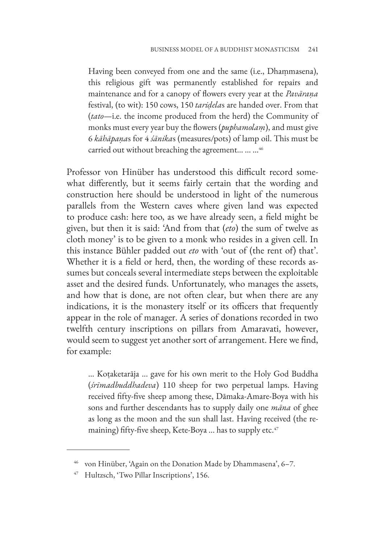Having been conveyed from one and the same (i.e., Dhaṃmasena), this religious gift was permanently established for repairs and maintenance and for a canopy of flowers every year at the *Pavāraṇa* festival, (to wit): 150 cows, 150 *tariḍela*s are handed over. From that (*tato*—i.e. the income produced from the herd) the Community of monks must every year buy the flowers (*puphamolaṃ*), and must give 6 *kāhāpaṇa*s for 4 *śānika*s (measures/pots) of lamp oil. This must be carried out without breaching the agreement... ... ...<sup>46</sup>

Professor von Hinüber has understood this difficult record somewhat differently, but it seems fairly certain that the wording and construction here should be understood in light of the numerous parallels from the Western caves where given land was expected to produce cash: here too, as we have already seen, a field might be given, but then it is said: 'And from that (*eto*) the sum of twelve as cloth money' is to be given to a monk who resides in a given cell. In this instance Bühler padded out *eto* with 'out of (the rent of) that'. Whether it is a field or herd, then, the wording of these records assumes but conceals several intermediate steps between the exploitable asset and the desired funds. Unfortunately, who manages the assets, and how that is done, are not often clear, but when there are any indications, it is the monastery itself or its officers that frequently appear in the role of manager. A series of donations recorded in two twelfth century inscriptions on pillars from Amaravati, however, would seem to suggest yet another sort of arrangement. Here we find, for example:

... Koṭaketarāja ... gave for his own merit to the Holy God Buddha (*śrīmadbuddhadeva*) 110 sheep for two perpetual lamps. Having received fifty-five sheep among these, Dāmaka-Amare-Boya with his sons and further descendants has to supply daily one *māna* of ghee as long as the moon and the sun shall last. Having received (the remaining) fifty-five sheep, Kete-Boya ... has to supply etc.<sup>47</sup>

<sup>46</sup> von Hinüber, 'Again on the Donation Made by Dhammasena', 6–7.

Hultzsch, 'Two Pillar Inscriptions', 156.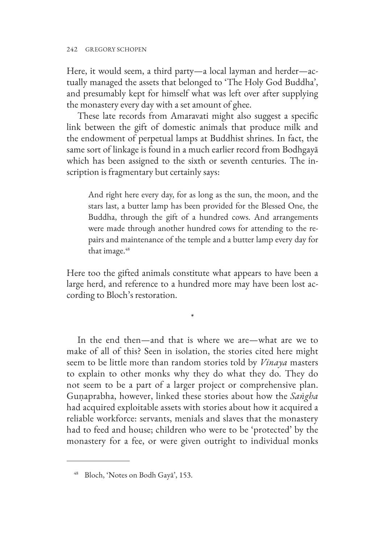Here, it would seem, a third party—a local layman and herder—actually managed the assets that belonged to 'The Holy God Buddha', and presumably kept for himself what was left over after supplying the monastery every day with a set amount of ghee.

These late records from Amaravati might also suggest a specific link between the gift of domestic animals that produce milk and the endowment of perpetual lamps at Buddhist shrines. In fact, the same sort of linkage is found in a much earlier record from Bodhgayā which has been assigned to the sixth or seventh centuries. The inscription is fragmentary but certainly says:

And right here every day, for as long as the sun, the moon, and the stars last, a butter lamp has been provided for the Blessed One, the Buddha, through the gift of a hundred cows. And arrangements were made through another hundred cows for attending to the repairs and maintenance of the temple and a butter lamp every day for that image.<sup>48</sup>

Here too the gifted animals constitute what appears to have been a large herd, and reference to a hundred more may have been lost according to Bloch's restoration.

\*

In the end then—and that is where we are—what are we to make of all of this? Seen in isolation, the stories cited here might seem to be little more than random stories told by *Vinaya* masters to explain to other monks why they do what they do. They do not seem to be a part of a larger project or comprehensive plan. Guṇaprabha, however, linked these stories about how the *Saṅgha* had acquired exploitable assets with stories about how it acquired a reliable workforce: servants, menials and slaves that the monastery had to feed and house; children who were to be 'protected' by the monastery for a fee, or were given outright to individual monks

<sup>48</sup> Bloch, 'Notes on Bodh Gayā', 153.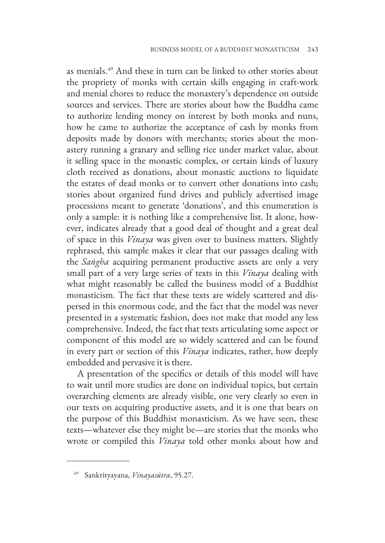as menials.49 And these in turn can be linked to other stories about the propriety of monks with certain skills engaging in craft-work and menial chores to reduce the monastery's dependence on outside sources and services. There are stories about how the Buddha came to authorize lending money on interest by both monks and nuns, how he came to authorize the acceptance of cash by monks from deposits made by donors with merchants; stories about the monastery running a granary and selling rice under market value, about it selling space in the monastic complex, or certain kinds of luxury cloth received as donations, about monastic auctions to liquidate the estates of dead monks or to convert other donations into cash; stories about organized fund drives and publicly advertised image processions meant to generate 'donations', and this enumeration is only a sample: it is nothing like a comprehensive list. It alone, however, indicates already that a good deal of thought and a great deal of space in this *Vinaya* was given over to business matters. Slightly rephrased, this sample makes it clear that our passages dealing with the *Saṅgha* acquiring permanent productive assets are only a very small part of a very large series of texts in this *Vinaya* dealing with what might reasonably be called the business model of a Buddhist monasticism. The fact that these texts are widely scattered and dispersed in this enormous code, and the fact that the model was never presented in a systematic fashion, does not make that model any less comprehensive. Indeed, the fact that texts articulating some aspect or component of this model are so widely scattered and can be found in every part or section of this *Vinaya* indicates, rather, how deeply embedded and pervasive it is there.

A presentation of the specifics or details of this model will have to wait until more studies are done on individual topics, but certain overarching elements are already visible, one very clearly so even in our texts on acquiring productive assets, and it is one that bears on the purpose of this Buddhist monasticism. As we have seen, these texts—whatever else they might be—are stories that the monks who wrote or compiled this *Vinaya* told other monks about how and

<sup>49</sup> Sankrityayana, *Vinayasūtra*, 95.27.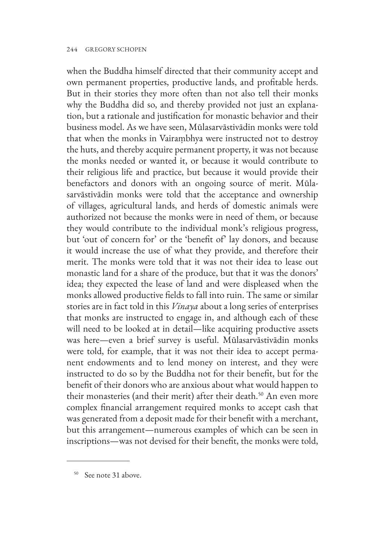#### 244 GREGORY SCHOPEN

when the Buddha himself directed that their community accept and own permanent properties, productive lands, and profitable herds. But in their stories they more often than not also tell their monks why the Buddha did so, and thereby provided not just an explanation, but a rationale and justification for monastic behavior and their business model. As we have seen, Mūlasarvāstivādin monks were told that when the monks in Vairaṃbhya were instructed not to destroy the huts, and thereby acquire permanent property, it was not because the monks needed or wanted it, or because it would contribute to their religious life and practice, but because it would provide their benefactors and donors with an ongoing source of merit. Mūlasarvāstivādin monks were told that the acceptance and ownership of villages, agricultural lands, and herds of domestic animals were authorized not because the monks were in need of them, or because they would contribute to the individual monk's religious progress, but 'out of concern for' or the 'benefit of' lay donors, and because it would increase the use of what they provide, and therefore their merit. The monks were told that it was not their idea to lease out monastic land for a share of the produce, but that it was the donors' idea; they expected the lease of land and were displeased when the monks allowed productive fields to fall into ruin. The same or similar stories are in fact told in this *Vinaya* about a long series of enterprises that monks are instructed to engage in, and although each of these will need to be looked at in detail—like acquiring productive assets was here—even a brief survey is useful. Mūlasarvāstivādin monks were told, for example, that it was not their idea to accept permanent endowments and to lend money on interest, and they were instructed to do so by the Buddha not for their benefit, but for the benefit of their donors who are anxious about what would happen to their monasteries (and their merit) after their death.<sup>50</sup> An even more complex financial arrangement required monks to accept cash that was generated from a deposit made for their benefit with a merchant, but this arrangement—numerous examples of which can be seen in inscriptions—was not devised for their benefit, the monks were told,

<sup>50</sup> See note 31 above.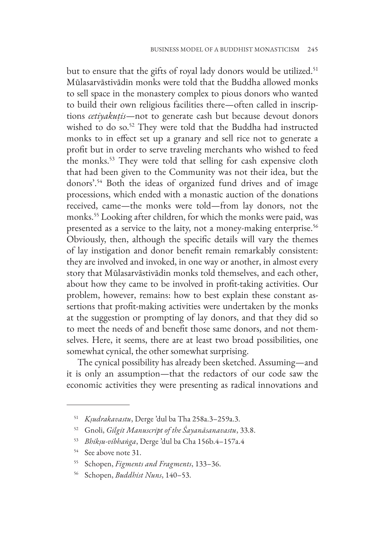but to ensure that the gifts of royal lady donors would be utilized.<sup>51</sup> Mūlasarvāstivādin monks were told that the Buddha allowed monks to sell space in the monastery complex to pious donors who wanted to build their own religious facilities there—often called in inscriptions *cetiyakutis*—not to generate cash but because devout donors wished to do so.<sup>52</sup> They were told that the Buddha had instructed monks to in effect set up a granary and sell rice not to generate a profit but in order to serve traveling merchants who wished to feed the monks.53 They were told that selling for cash expensive cloth that had been given to the Community was not their idea, but the donors'.54 Both the ideas of organized fund drives and of image processions, which ended with a monastic auction of the donations received, came—the monks were told—from lay donors, not the monks.55 Looking after children, for which the monks were paid, was presented as a service to the laity, not a money-making enterprise.<sup>56</sup> Obviously, then, although the specific details will vary the themes of lay instigation and donor benefit remain remarkably consistent: they are involved and invoked, in one way or another, in almost every story that Mūlasarvāstivādin monks told themselves, and each other, about how they came to be involved in profit-taking activities. Our problem, however, remains: how to best explain these constant assertions that profit-making activities were undertaken by the monks at the suggestion or prompting of lay donors, and that they did so to meet the needs of and benefit those same donors, and not themselves. Here, it seems, there are at least two broad possibilities, one somewhat cynical, the other somewhat surprising.

The cynical possibility has already been sketched. Assuming—and it is only an assumption—that the redactors of our code saw the economic activities they were presenting as radical innovations and

<sup>51</sup> *Kṣudrakavastu*, Derge 'dul ba Tha 258a.3–259a.3.

<sup>52</sup> Gnoli, *Gilgit Manuscript of the Śayanāsanavastu*, 33.8.

<sup>53</sup> *Bhikṣu-vibhaṅga*, Derge 'dul ba Cha 156b.4–157a.4

<sup>54</sup> See above note 31.

<sup>55</sup> Schopen, *Figments and Fragments*, 133–36.

<sup>56</sup> Schopen, *Buddhist Nuns*, 140–53.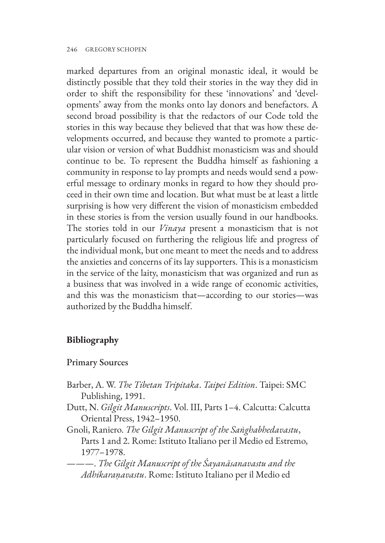marked departures from an original monastic ideal, it would be distinctly possible that they told their stories in the way they did in order to shift the responsibility for these 'innovations' and 'developments' away from the monks onto lay donors and benefactors. A second broad possibility is that the redactors of our Code told the stories in this way because they believed that that was how these developments occurred, and because they wanted to promote a particular vision or version of what Buddhist monasticism was and should continue to be. To represent the Buddha himself as fashioning a community in response to lay prompts and needs would send a powerful message to ordinary monks in regard to how they should proceed in their own time and location. But what must be at least a little surprising is how very different the vision of monasticism embedded in these stories is from the version usually found in our handbooks. The stories told in our *Vinaya* present a monasticism that is not particularly focused on furthering the religious life and progress of the individual monk, but one meant to meet the needs and to address the anxieties and concerns of its lay supporters. This is a monasticism in the service of the laity, monasticism that was organized and run as a business that was involved in a wide range of economic activities, and this was the monasticism that—according to our stories—was authorized by the Buddha himself.

## **Bibliography**

## Primary Sources

- Barber, A. W. *The Tibetan Tripitaka*. *Taipei Edition*. Taipei: SMC Publishing, 1991.
- Dutt, N. *Gilgit Manuscripts*. Vol. III, Parts 1–4. Calcutta: Calcutta Oriental Press, 1942–1950.
- Gnoli, Raniero. *The Gilgit Manuscript of the Saṅghabhedavastu*, Parts 1 and 2. Rome: Istituto Italiano per il Medio ed Estremo, 1977–1978.
- ———. *The Gilgit Manuscript of the Śayanāsanavastu and the Adhikaraṇavastu*. Rome: Istituto Italiano per il Medio ed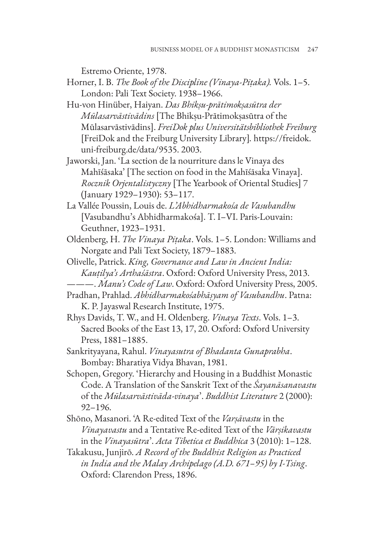Estremo Oriente, 1978.

- Horner, I. B. *The Book of the Discipline (Vinaya-Piṭaka).* Vols. 1–5. London: Pali Text Society. 1938–1966.
- Hu-von Hinüber, Haiyan. *Das Bhikṣu-prātimokṣasūtra der Mūlasarvāstivādins* [The Bhikṣu-Prātimokṣasūtra of the Mūlasarvāstivādins]. *FreiDok plus Universitätsbibliothek Freiburg* [\[FreiDok and the Freiburg University Library\]](https://freidok.uni-freiburg.de/data/9535)*.* https://freidok. uni-freiburg.de/data/9535. 2003.
- Jaworski, Jan. 'La section de la nourriture dans le Vinaya des Mahīśāsaka' [The section on food in the Mahīśāsaka Vinaya]. *Rocznik Orjentalistyczny* [The Yearbook of Oriental Studies] 7 (January 1929–1930): 53–117.
- La Vallée Poussin, Louis de. *L'Abhidharmakośa de Vasubandhu* [Vasubandhu's Abhidharmakośa]. T. I–VI. Paris-Louvain: Geuthner, 1923–1931.
- Oldenberg, H. *The Vinaya Piṭaka*. Vols. 1–5. London: Williams and Norgate and Pali Text Society, 1879–1883.
- Olivelle, Patrick. *King, Governance and Law in Ancient India: Kauṭilya's Arthaśāstra*. Oxford: Oxford University Press, 2013.
	- ———. *Manu's Code of Law*. Oxford: Oxford University Press, 2005.
- Pradhan, Prahlad. *Abhidharmakośabhāṣyam of Vasubandhu*. Patna: K. P. Jayaswal Research Institute, 1975.
- Rhys Davids, T. W., and H. Oldenberg. *Vinaya Texts*. Vols. 1–3. Sacred Books of the East 13, 17, 20. Oxford: Oxford University Press, 1881–1885.
- Sankrityayana, Rahul. *Vinayasutra of Bhadanta Gunaprabha*. Bombay: Bharatiya Vidya Bhavan, 1981.
- Schopen, Gregory. 'Hierarchy and Housing in a Buddhist Monastic Code. A Translation of the Sanskrit Text of the *Śayanāsanavastu* of the *Mūlasarvāstivāda-vinaya*'. *Buddhist Literature* 2 (2000): 92–196.
- Shōno, Masanori. 'A Re-edited Text of the *Varṣāvastu* in the *Vinayavastu* and a Tentative Re-edited Text of the *Vārṣikavastu* in the *Vinayasūtra*'. *Acta Tibetica et Buddhica* 3 (2010): 1–128.
- Takakusu, Junjirō. *A Record of the Buddhist Religion as Practiced in India and the Malay Archipelago (A.D. 671–95) by I-Tsing*. Oxford: Clarendon Press, 1896.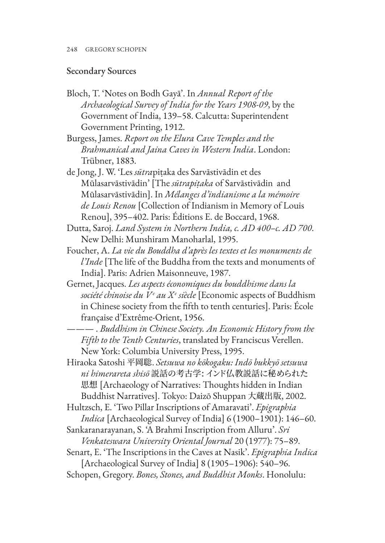### Secondary Sources

Bloch, T. 'Notes on Bodh Gayā'. In *Annual Report of the Archaeological Survey of India for the Years 1908-09*, by the Government of India, 139–58. Calcutta: Superintendent Government Printing, 1912.

Burgess, James. *Report on the Elura Cave Temples and the Brahmanical and Jaina Caves in Western India*. London: Trübner, 1883.

- de Jong, J. W. 'Les *sūtra*piṭaka des Sarvāstivādin et des Mūlasarvāstivādin' [The *sūtrapiṭaka* of Sarvāstivādin and Mūlasarvāstivādin]. In *Mélanges d'indianisme a la mémoire de Louis Renou* [Collection of Indianism in Memory of Louis Renou], 395–402. Paris: Éditions E. de Boccard, 1968.
- Dutta, Saroj. *Land System in Northern India, c. AD 400–c. AD 700*. New Delhi: Munshiram Manoharlal, 1995.
- Foucher, A. *La vie du Bouddha d'après les textes et les monuments de l'Inde* [The life of the Buddha from the texts and monuments of India]. Paris: Adrien Maisonneuve, 1987.
- Gernet, Jacques. *Les aspects économiques du bouddhisme dans la société chinoise du Ve au Xe siècle* [Economic aspects of Buddhism in Chinese society from the fifth to tenth centuries]. Paris: École française d'Extrême-Orient, 1956.

——— . *Buddhism in Chinese Society. An Economic History from the Fifth to the Tenth Centuries*, translated by Franciscus Verellen. New York: Columbia University Press, 1995.

Hiraoka Satoshi 平岡聡. *Setsuwa no kōkogaku: Indō bukkyō setsuwa ni himerareta shisō* 説話の考古学: インド仏教説話に秘められた 思想 [Archaeology of Narratives: Thoughts hidden in Indian Buddhist Narratives]. Tokyo: Daizō Shuppan 大蔵出版, 2002.

Hultzsch, E. 'Two Pillar Inscriptions of Amaravati'. *Epigraphia Indica* [Archaeological Survey of India] 6 (1900–1901): 146–60.

- Sankaranarayanan, S. 'A Brahmi Inscription from Alluru'. *Sri Venkateswara University Oriental Journal* 20 (1977): 75–89.
- Senart, E. 'The Inscriptions in the Caves at Nasik'. *Epigraphia Indica* [Archaeological Survey of India] 8 (1905–1906): 540–96.
- Schopen, Gregory. *Bones, Stones, and Buddhist Monks*. Honolulu: